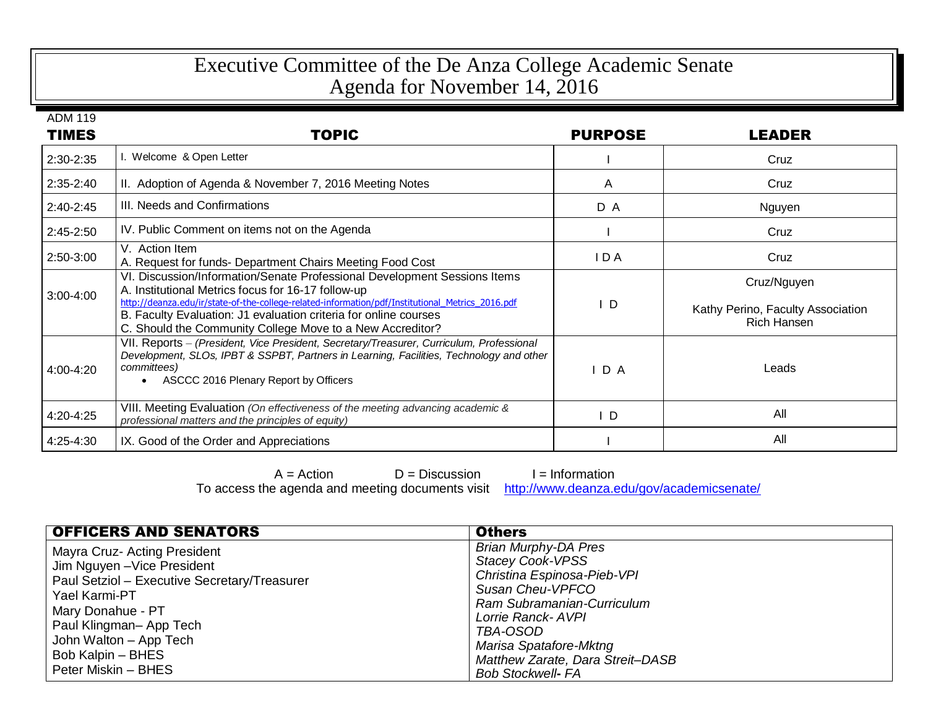## Executive Committee of the De Anza College Academic Senate Agenda for November 14, 2016

ADM 119

| <b>TIMES</b>  | <b>TOPIC</b>                                                                                                                                                                                                                                                                                                                                                         | <b>PURPOSE</b> | <b>LEADER</b>                                                          |
|---------------|----------------------------------------------------------------------------------------------------------------------------------------------------------------------------------------------------------------------------------------------------------------------------------------------------------------------------------------------------------------------|----------------|------------------------------------------------------------------------|
| 2:30-2:35     | I. Welcome & Open Letter                                                                                                                                                                                                                                                                                                                                             |                | Cruz                                                                   |
| $2:35-2:40$   | II. Adoption of Agenda & November 7, 2016 Meeting Notes                                                                                                                                                                                                                                                                                                              | A              | Cruz                                                                   |
| $2:40 - 2:45$ | III. Needs and Confirmations                                                                                                                                                                                                                                                                                                                                         | D A            | Nguyen                                                                 |
| $2:45-2:50$   | IV. Public Comment on items not on the Agenda                                                                                                                                                                                                                                                                                                                        |                | Cruz                                                                   |
| 2:50-3:00     | V. Action Item<br>A. Request for funds- Department Chairs Meeting Food Cost                                                                                                                                                                                                                                                                                          | I D A          | Cruz                                                                   |
| $3:00 - 4:00$ | VI. Discussion/Information/Senate Professional Development Sessions Items<br>A. Institutional Metrics focus for 16-17 follow-up<br>http://deanza.edu/ir/state-of-the-college-related-information/pdf/Institutional Metrics 2016.pdf<br>B. Faculty Evaluation: J1 evaluation criteria for online courses<br>C. Should the Community College Move to a New Accreditor? | - D            | Cruz/Nguyen<br>Kathy Perino, Faculty Association<br><b>Rich Hansen</b> |
| 4:00-4:20     | VII. Reports - (President, Vice President, Secretary/Treasurer, Curriculum, Professional<br>Development, SLOs, IPBT & SSPBT, Partners in Learning, Facilities, Technology and other<br>committees)<br>ASCCC 2016 Plenary Report by Officers                                                                                                                          | $I$ D A        | Leads                                                                  |
| 4:20-4:25     | VIII. Meeting Evaluation (On effectiveness of the meeting advancing academic &<br>professional matters and the principles of equity)                                                                                                                                                                                                                                 | D              | All                                                                    |
| 4:25-4:30     | IX. Good of the Order and Appreciations                                                                                                                                                                                                                                                                                                                              |                | All                                                                    |

 $A =$  Action  $D =$  Discussion  $I =$  Information<br>e agenda and meeting documents visit http://www.deanza.edu/gov/academicsenate/ To access the agenda and meeting documents visit

| <b>OFFICERS AND SENATORS</b>                                                                                                                                                                                                                      | <b>Others</b>                                                                                                                                                                                                                                                      |
|---------------------------------------------------------------------------------------------------------------------------------------------------------------------------------------------------------------------------------------------------|--------------------------------------------------------------------------------------------------------------------------------------------------------------------------------------------------------------------------------------------------------------------|
| Mayra Cruz- Acting President<br>Jim Nguyen - Vice President<br>Paul Setziol - Executive Secretary/Treasurer<br>Yael Karmi-PT<br>Mary Donahue - PT<br>Paul Klingman-App Tech<br>John Walton - App Tech<br>Bob Kalpin - BHES<br>Peter Miskin - BHES | <b>Brian Murphy-DA Pres</b><br><b>Stacey Cook-VPSS</b><br>Christina Espinosa-Pieb-VPI<br>Susan Cheu-VPFCO<br>Ram Subramanian-Curriculum<br>Lorrie Ranck-AVPI<br>TBA-OSOD<br>Marisa Spatafore-Mktng<br>Matthew Zarate, Dara Streit-DASB<br><b>Bob Stockwell- FA</b> |